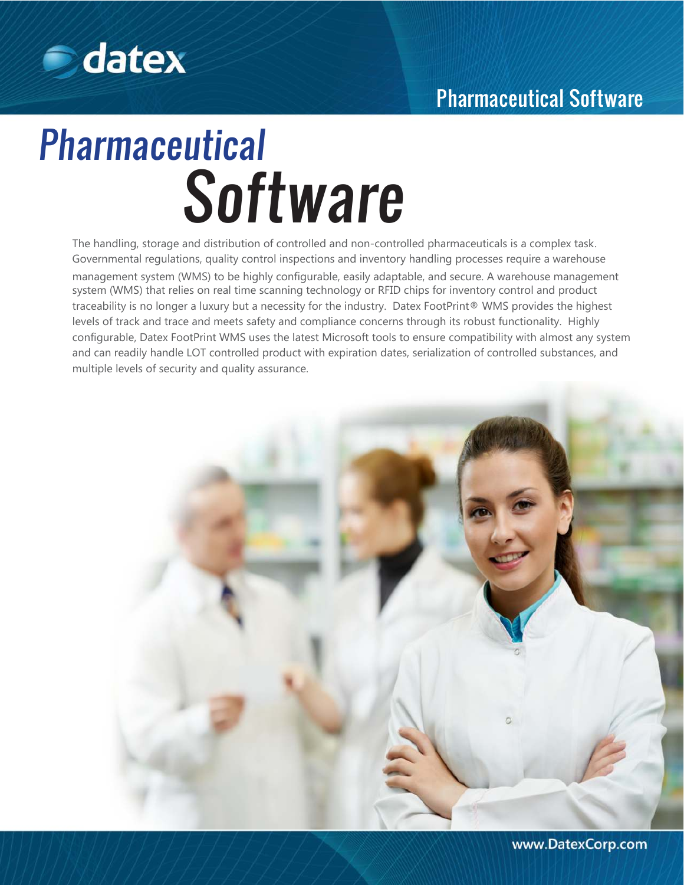

# Pharmaceutical Software

# Pharmaceutical **Software**

The handling, storage and distribution of controlled and non-controlled pharmaceuticals is a complex task. Governmental regulations, quality control inspections and inventory handling processes require a warehouse management system (WMS) to be highly configurable, easily adaptable, and secure. A warehouse management system (WMS) that relies on real time scanning technology or RFID chips for inventory control and product traceability is no longer a luxury but a necessity for the industry. Datex FootPrint® WMS provides the highest levels of track and trace and meets safety and compliance concerns through its robust functionality. Highly configurable, Datex FootPrint WMS uses the latest Microsoft tools to ensure compatibility with almost any system and can readily handle LOT controlled product with expiration dates, serialization of controlled substances, and multiple levels of security and quality assurance.

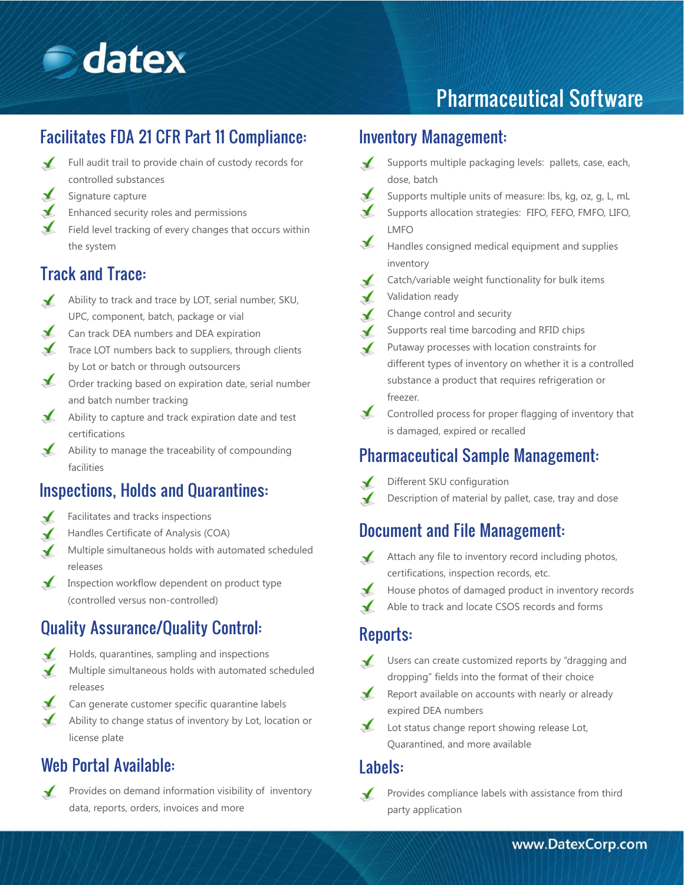

# Pharmaceutical Software

# Facilitates FDA 21 CFR Part 11 Compliance:

- Full audit trail to provide chain of custody records for  $\sqrt{ }$ controlled substances
- $\mathcal{L}$ Signature capture
- $\sqrt{ }$ Enhanced security roles and permissions
- $\blacktriangleright$  Field level tracking of every changes that occurs within the system

## Track and Trace:

- Ability to track and trace by LOT, serial number, SKU, UPC, component, batch, package or vial
- Can track DEA numbers and DEA expiration  $\sqrt{ }$
- Trace LOT numbers back to suppliers, through clients by Lot or batch or through outsourcers
- Order tracking based on expiration date, serial number and batch number tracking
- Ability to capture and track expiration date and test certifications
- $\blacktriangle$  Ability to manage the traceability of compounding facilities

#### Inspections, Holds and Quarantines:

- Facilitates and tracks inspections
- Handles Certificate of Analysis (COA)
- Multiple simultaneous holds with automated scheduled releases
- $\sqrt{ }$ Inspection workflow dependent on product type (controlled versus non-controlled)

# Quality Assurance/Quality Control:

- Holds, quarantines, sampling and inspections
- Multiple simultaneous holds with automated scheduled  $\blacktriangledown$ releases
- Can generate customer specific quarantine labels  $\mathbf{r}$
- Ability to change status of inventory by Lot, location or license plate

## Web Portal Available:

- $\mathcal{L}$ 
	- Provides on demand information visibility of inventory data, reports, orders, invoices and more

#### Inventory Management:

- Supports multiple packaging levels: pallets, case, each,  $\sqrt{ }$ dose, batch
- Supports multiple units of measure: lbs, kg, oz, g, L, mL
- Supports allocation strategies: FIFO, FEFO, FMFO, LIFO, LMFO
- Handles consigned medical equipment and supplies inventory
- Catch/variable weight functionality for bulk items
- Validation ready
- Change control and security
- Supports real time barcoding and RFID chips
- Putaway processes with location constraints for different types of inventory on whether it is a controlled substance a product that requires refrigeration or freezer.
- $\sqrt{ }$ Controlled process for proper flagging of inventory that is damaged, expired or recalled

# Pharmaceutical Sample Management:

- Different SKU configuration
- Description of material by pallet, case, tray and dose

## Document and File Management:

- $\sqrt{ }$ Attach any file to inventory record including photos, certifications, inspection records, etc.
- House photos of damaged product in inventory records
- Able to track and locate CSOS records and forms

#### Reports:

- $\sqrt{ }$ Users can create customized reports by "dragging and dropping" fields into the format of their choice
- Report available on accounts with nearly or already  $\sqrt{ }$ expired DEA numbers
- $\sqrt{ }$ Lot status change report showing release Lot, Quarantined, and more available

#### Labels:

Provides compliance labels with assistance from third party application